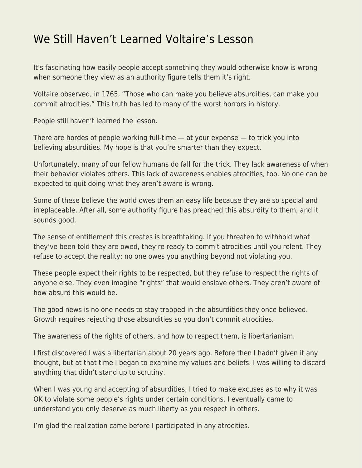## [We Still Haven't Learned Voltaire's Lesson](https://everything-voluntary.com/we-still-havent-learned-voltaires-lesson)

It's fascinating how easily people accept something they would otherwise know is wrong when someone they view as an authority figure tells them it's right.

Voltaire observed, in 1765, "Those who can make you believe absurdities, can make you commit atrocities." This truth has led to many of the worst horrors in history.

People still haven't learned the lesson.

There are hordes of people working full-time — at your expense — to trick you into believing absurdities. My hope is that you're smarter than they expect.

Unfortunately, many of our fellow humans do fall for the trick. They lack awareness of when their behavior violates others. This lack of awareness enables atrocities, too. No one can be expected to quit doing what they aren't aware is wrong.

Some of these believe the world owes them an easy life because they are so special and irreplaceable. After all, some authority figure has preached this absurdity to them, and it sounds good.

The sense of entitlement this creates is breathtaking. If you threaten to withhold what they've been told they are owed, they're ready to commit atrocities until you relent. They refuse to accept the reality: no one owes you anything beyond not violating you.

These people expect their rights to be respected, but they refuse to respect the rights of anyone else. They even imagine "rights" that would enslave others. They aren't aware of how absurd this would be.

The good news is no one needs to stay trapped in the absurdities they once believed. Growth requires rejecting those absurdities so you don't commit atrocities.

The awareness of the rights of others, and how to respect them, is libertarianism.

I first discovered I was a libertarian about 20 years ago. Before then I hadn't given it any thought, but at that time I began to examine my values and beliefs. I was willing to discard anything that didn't stand up to scrutiny.

When I was young and accepting of absurdities, I tried to make excuses as to why it was OK to violate some people's rights under certain conditions. I eventually came to understand you only deserve as much liberty as you respect in others.

I'm glad the realization came before I participated in any atrocities.